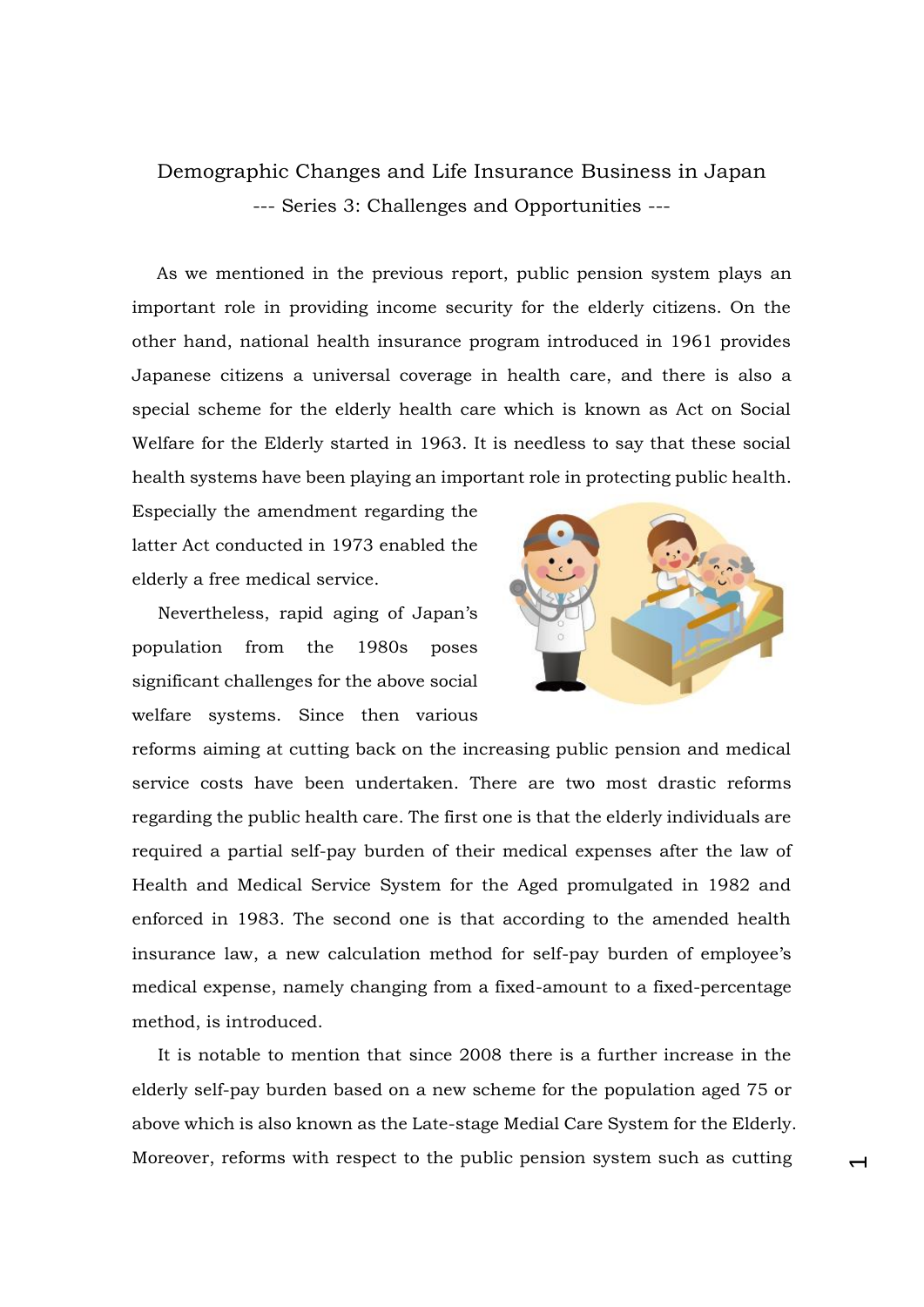## Demographic Changes and Life Insurance Business in Japan --- Series 3: Challenges and Opportunities ---

As we mentioned in the previous report, public pension system plays an important role in providing income security for the elderly citizens. On the other hand, national health insurance program introduced in 1961 provides Japanese citizens a universal coverage in health care, and there is also a special scheme for the elderly health care which is known as Act on Social Welfare for the Elderly started in 1963. It is needless to say that these social health systems have been playing an important role in protecting public health.

Especially the amendment regarding the latter Act conducted in 1973 enabled the elderly a free medical service.

Nevertheless, rapid aging of Japan's population from the 1980s poses significant challenges for the above social welfare systems. Since then various



 $\overline{\phantom{0}}$ 

reforms aiming at cutting back on the increasing public pension and medical service costs have been undertaken. There are two most drastic reforms regarding the public health care. The first one is that the elderly individuals are required a partial self-pay burden of their medical expenses after the law of Health and Medical Service System for the Aged promulgated in 1982 and enforced in 1983. The second one is that according to the amended health insurance law, a new calculation method for self-pay burden of employee's medical expense, namely changing from a fixed-amount to a fixed-percentage method, is introduced.

It is notable to mention that since 2008 there is a further increase in the elderly self-pay burden based on a new scheme for the population aged 75 or above which is also known as the Late-stage Medial Care System for the Elderly. Moreover, reforms with respect to the public pension system such as cutting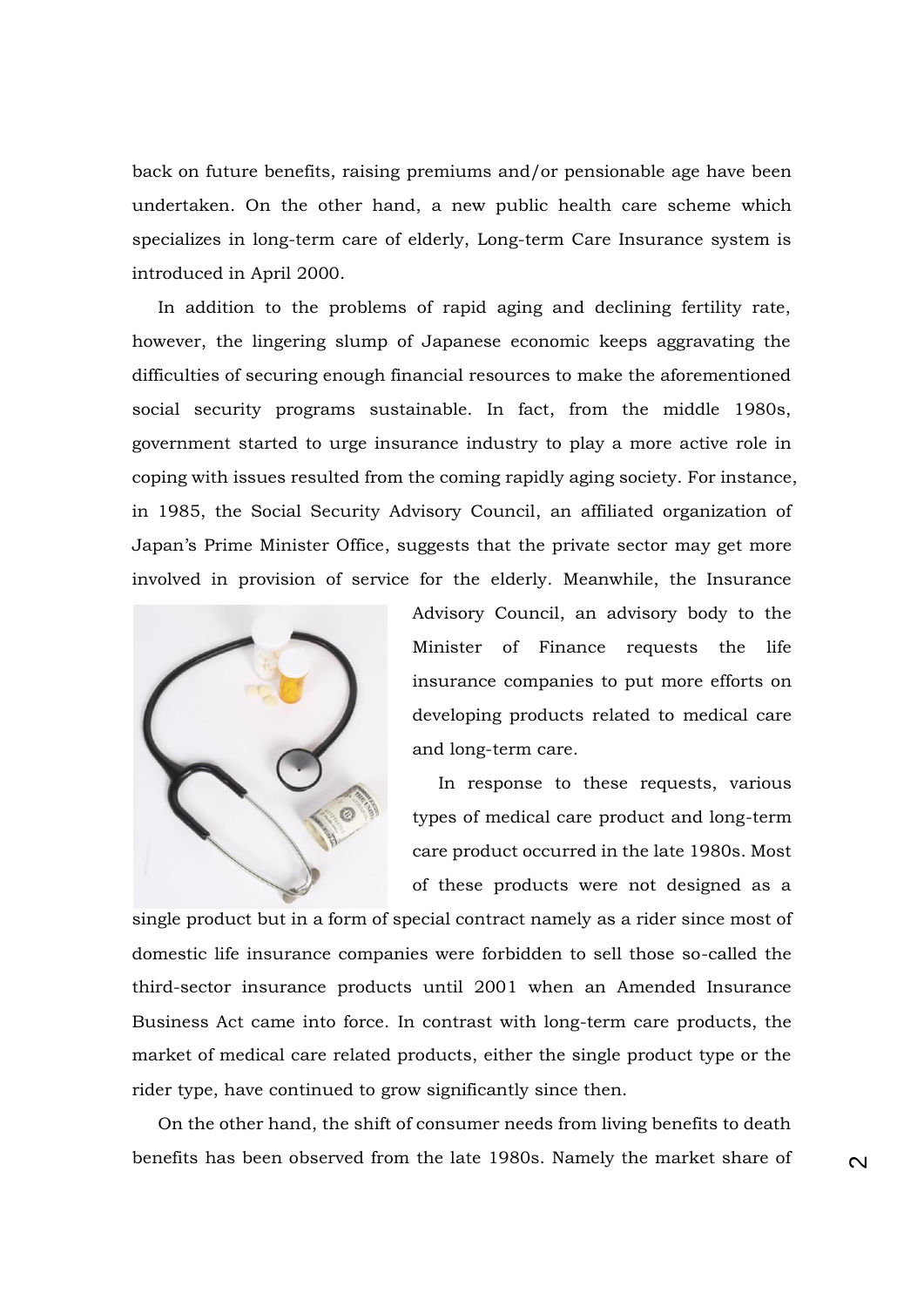back on future benefits, raising premiums and/or pensionable age have been undertaken. On the other hand, a new public health care scheme which specializes in long-term care of elderly, Long-term Care Insurance system is introduced in April 2000.

In addition to the problems of rapid aging and declining fertility rate, however, the lingering slump of Japanese economic keeps aggravating the difficulties of securing enough financial resources to make the aforementioned social security programs sustainable. In fact, from the middle 1980s, government started to urge insurance industry to play a more active role in coping with issues resulted from the coming rapidly aging society. For instance, in 1985, the Social Security Advisory Council, an affiliated organization of Japan's Prime Minister Office, suggests that the private sector may get more involved in provision of service for the elderly. Meanwhile, the Insurance



Advisory Council, an advisory body to the Minister of Finance requests the life insurance companies to put more efforts on developing products related to medical care and long-term care.

In response to these requests, various types of medical care product and long-term care product occurred in the late 1980s. Most of these products were not designed as a

single product but in a form of special contract namely as a rider since most of domestic life insurance companies were forbidden to sell those so-called the third-sector insurance products until 2001 when an Amended Insurance Business Act came into force. In contrast with long-term care products, the market of medical care related products, either the single product type or the rider type, have continued to grow significantly since then.

On the other hand, the shift of consumer needs from living benefits to death benefits has been observed from the late 1980s. Namely the market share of